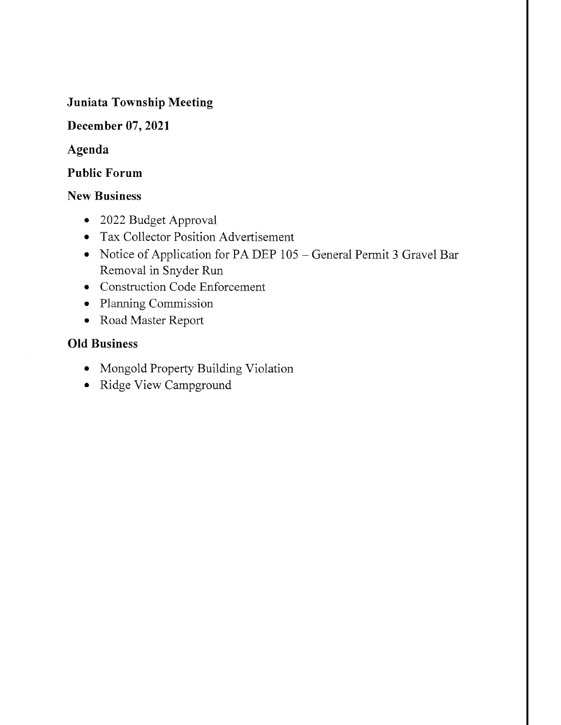#### Juniata Township Meeting

#### December 07,2021

#### Agenda

#### Public Forum

#### New Business

- 2022 Budget Approval
- o Tax Collector Position Advertisement
- o Notice of Application for PA DEP 105 General Permit 3 Gravel Bar Removal in Snyder Run
- o Construction Code Enforcement
- . Planning Commission
- . Road Master Report

#### Old Business

- o Mongold Properfy Building Violation
- . Ridge View Campground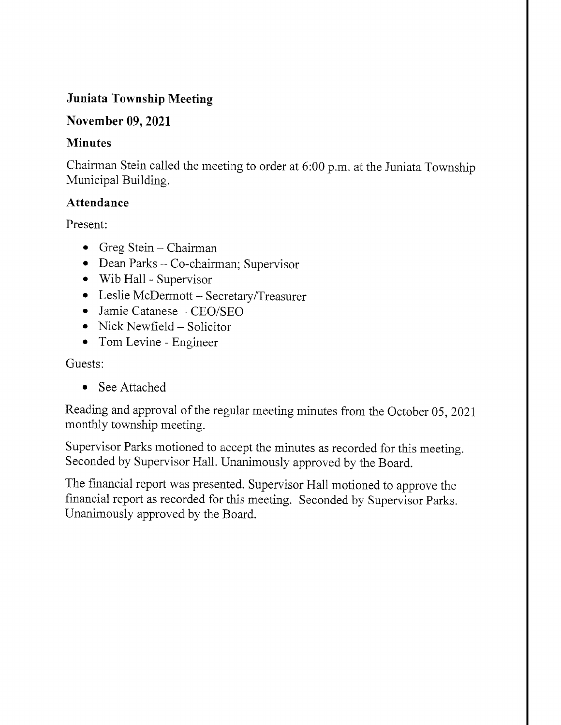### Juniata Township Meeting

#### November 09, 2021

#### **Minutes**

Chairman Stein called the meeting to order at 6:00 p.m. at the Juniata Township Municipal Building.

#### Attendance

Present:

- Greg Stein Chairman
- Dean Parks Co-chairman; Supervisor
- o Wib Hall Supervisor
- o Leslie McDermott SecretarylTreasurer
- . Jamie Catanese CEO/SEO
- Nick Newfield Solicitor
- Tom Levine Engineer

Guests:

o See Attached

Reading and approval of the regular meeting minutes from the October 05, 2021 monthly township meeting.

Supervisor Parks motioned to accept the minutes as recorded for this meeting. Seconded by Supervisor Hall. Unanimously approved by the Board.

The financial report was presented. Supervisor Hall motioned to approve the financial report as recorded for this meeting. Seconded by Supervisor Parks. Unanimously approved by the Board.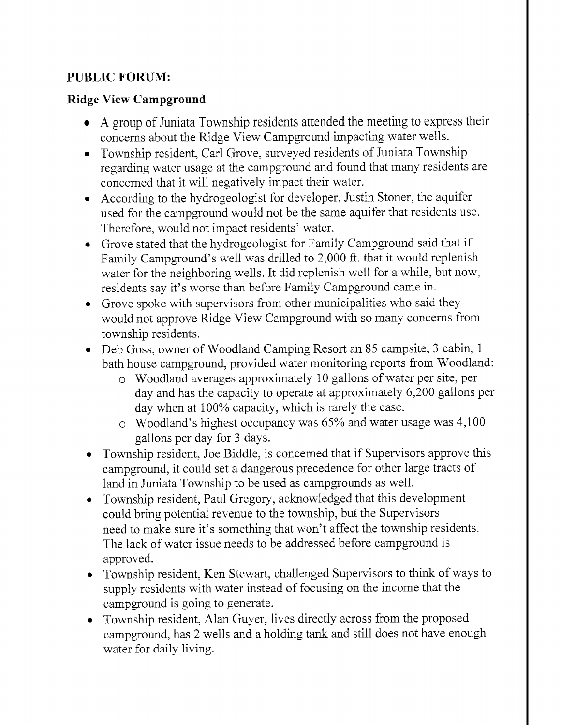## PUBLIC FORUM:

#### Ridge View Campground

- A group of Juniata Township residents attended the meeting to express their concerns about the Ridge View Campground impacting water wells.
- . Township resident, Carl Grove, surveyed residents of Juniata Township regarding water usage at the campground and found that many residents are concerned that it will negatively impact their water.
- o According to the hydrogeologist for developer, Justin Stoner, the aquifer used for the campground would not be the same aquifer that residents use. Therefore, would not impact residents' water.
- o Grove stated that the hydrogeologist for Family Campground said that if Family Campground's well was driiled to 2,000 ft. that it would replenish water for the neighboring wells. It did replenish well for a while, but now, residents say it's worse than before Family Campground came in.
- Grove spoke with supervisors from other municipalities who said they would not approve Ridge View Campground with so many concerns from township residents.
- o Deb Goss, owner of Woodland Camping Resort an 85 campsite, 3 cabin, <sup>1</sup> bath house campground, provided water monitoring reports from Woodland:
	- o Woodland averages approximately 10 gallons of water per site, per day and has the capacity to operate at approximately 6,200 gallons per day when at  $100\%$  capacity, which is rarely the case.
	- $\circ$  Woodland's highest occupancy was 65% and water usage was 4,100 gallons per day for 3 days.
- Township resident, Joe Biddle, is concerned that if Supervisors approve this campground, it could set a dangerous precedence for other large tracts of land in Juniata Township to be used as campgrounds as well.
- o Township resident, Paul Gregory, acknowledged that this development could bring potential revenue to the township, but the Supervisors need to make sure it's something that won't affect the township residents. The lack of water issue needs to be addressed before campground is approved.
- o Township resident, Ken Stewart, challenged Supervisors to think of ways to supply residents with water instead of focusing on the income that the campground is going to generate.
- Township resident, Alan Guyer, lives directly across from the proposed campground, has 2 wells and a holding tank and still does not have enough water for daily living.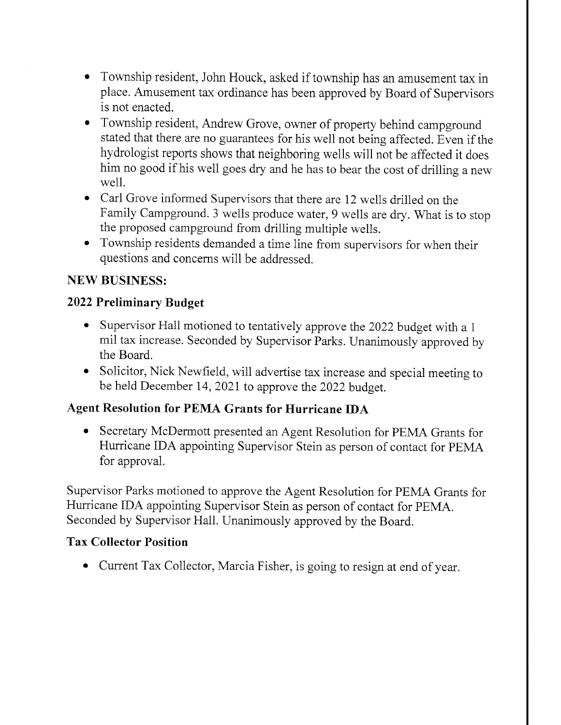- o Township resident, John Houck, asked if township has an amusement tax in place. Amusement tax ordinance has been approved by Board of Supervisors is not enacted.
- o Township resident, Andrew Grove, owner of properly behind campground stated that there are no guarantees for his well not being affected. Even if the hydrologist reports shows that neighboring wells will not be affected it does him no good if his well goes dry and he has to bear the cost of drilling a new well.
- o Carl Grove informed Supervisors that there are 12 wells driiled on the Family Campground. 3 wells produce water, 9 wells are dry. What is to stop the proposed campground from drilling multiple wells.
- . Township residents demanded a time line from supervisors for when their questions and concerns will be addressed.

#### NEW BUSINESS:

#### 2022 Preliminary Budget

- Supervisor Hall motioned to tentatively approve the 2022 budget with a 1 mil tax increase. Seconded by Supervisor Parks. Unanimously approved by the Board.
- . Solicitor, Nick Newfield, will advertise tax increase and special meeting to be held December 14,2021 to approve the 2022 budget.

#### Agent Resolution for PEMA Grants for Hurricane IDA

• Secretary McDermott presented an Agent Resolution for PEMA Grants for Hurricane IDA appointing Supervisor Stein as person of contact for PEMA for approval.

Supervisor Parks motioned to approve the Agent Resolution for PEMA Grants for Hurricane IDA appointing Supervisor Stein as person of contact for PEMA. Seconded by Supervisor Hall. Unanimously approved by the Board.

#### Tax Collector Position

o Current Tax Collector, Marcia Fisher, is going to resign at end of year.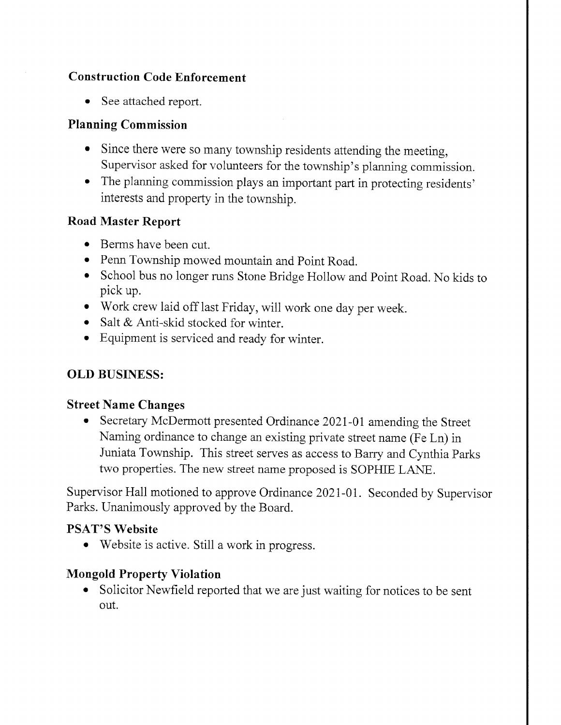### Construction Code Enforcement

• See attached report.

#### Planning Commission

- o Since there were so many township residents attending the meeting, Supervisor asked for volunteers for the township's planning commission.
- The planning commission plays an important part in protecting residents' interests and property in the township.

#### Road Master Report

- Berms have been cut.
- Penn Township mowed mountain and Point Road.
- o School bus no longer runs Stone Bridge Hollow and Point Road. No kids to pick up.
- . Work crew laid off last Friday, will work one day per week.
- Salt  $&$  Anti-skid stocked for winter.
- e Equipment is serviced and ready for winter.

## OLD BUSINESS:

#### Street Name Changes

o Secretary McDermott presented Ordinance 2021-01 amending the Street Naming ordinance to change an existing private street name (Fe Ln) in Juniata Township. This street seryes as access to Bary and Cynthia Parks two properties. The new street name proposed is SOPHIE LANE.

Supervisor Hall motioned to approve Ordinance 2021-01. Seconded by Supervisor Parks. Unanimously approved by the Board.

#### PSAT'S Website

o Website is active. Still a work in progress.

#### Mongold Property Violation

o Solicitor Newfield reported that we are just waiting for notices to be sent out.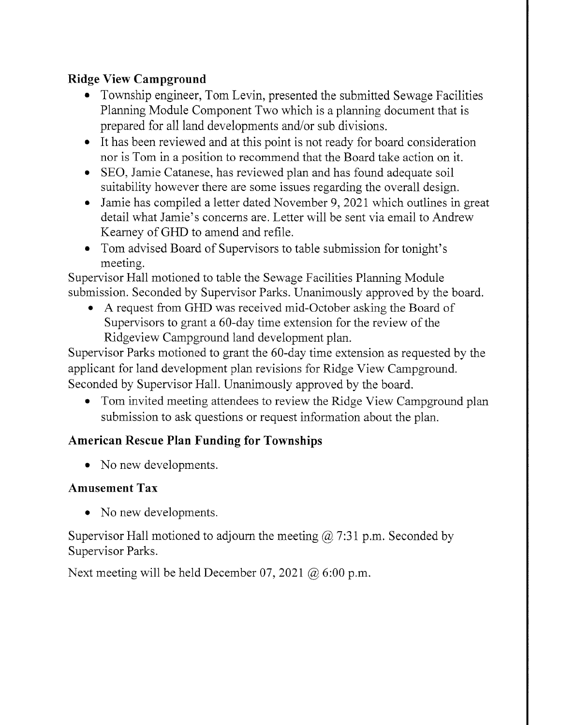## Ridge View Campground

- Township engineer, Tom Levin, presented the submitted Sewage Facilities Planning Module Component Two which is a planning document that is prepared for all land developments and/or sub divisions.
- o It has been reviewed and at this point is not ready for board consideration nor is Tom in a position to recommend that the Board take action on it.
- . SEO, Jamie Catanese, has reviewed plan and has found adequate soil suitability however there are some issues regarding the overall design.
- . Jamie has compiled a letter dated November 9,2021 which outlines in great detail what Jamie's concerns are. Letter will be sent via email to Andrew Keamey of GFID to amend and refile.
- Tom advised Board of Supervisors to table submission for tonight's meeting.

Supervisor Hall motioned to table the Sewage Facilities Planning Module submission. Seconded by Supervisor Parks. Unanimously approved by the board.

A request from GHD was received mid-October asking the Board of Supervisors to grant a 60-day time extension for the review of the Ridgeview Campground land development plan.

Supervisor Parks motioned to grant the 60-day time extension as requested by the applicant for land development plan revisions for Ridge View Campground. Seconded by Supervisor Hall. Unanimously approved by the board.

• Tom invited meeting attendees to review the Ridge View Campground plan submission to ask questions or request information about the plan.

## American Rescue Plan Funding for Townships

• No new developments.

## Amusement Tax

• No new developments.

Supervisor Hall motioned to adjourn the meeting  $\omega$  7:31 p.m. Seconded by Supervisor Parks.

Next meeting will be held December 07, 2021  $\omega$  6:00 p.m.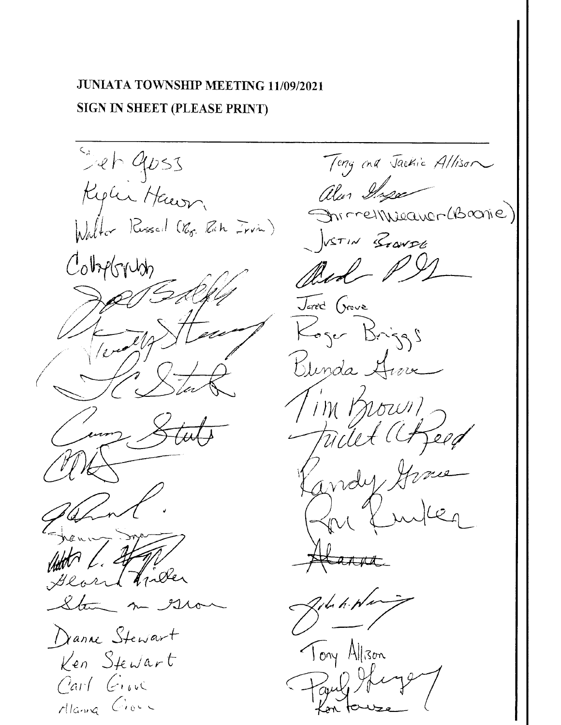## JUNIATA TOWNSHIP MEETING 11/09/2021 SIGN IN SHEET (PLEASE PRINT)

Set 9053 Replier Haven. Walter Russell (Rg. Rah Irvin) Colopborush 1 Viller Danne Stewart Ken Stewart Carl Giove Alanna Clock

Tony and Jackie Allison alen Inga Ohrmel Weaver (Branie) VITIN Branse Bed PS Jarod Grove Koger Briggs Blinda Hive I'M Known Feed Tillt ander ara The h-Ne Tony Allison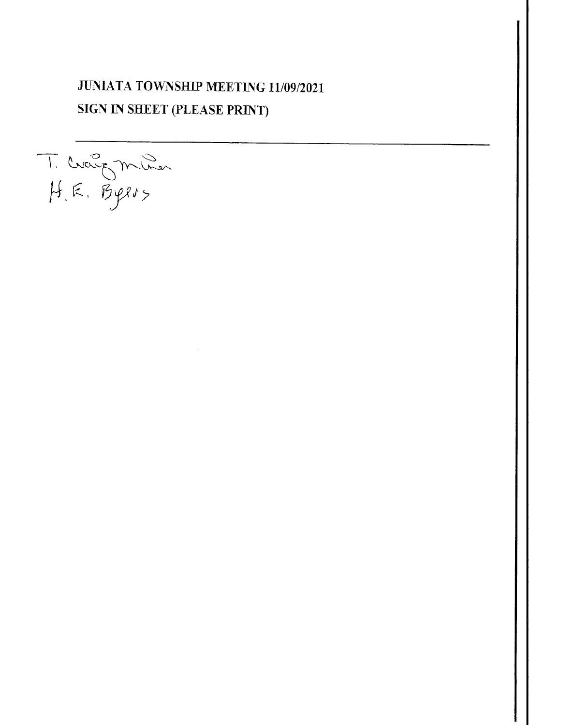## **JUNIATA TOWNSHIP MEETING 11/09/2021 SIGN IN SHEET (PLEASE PRINT)**

T. Crangminer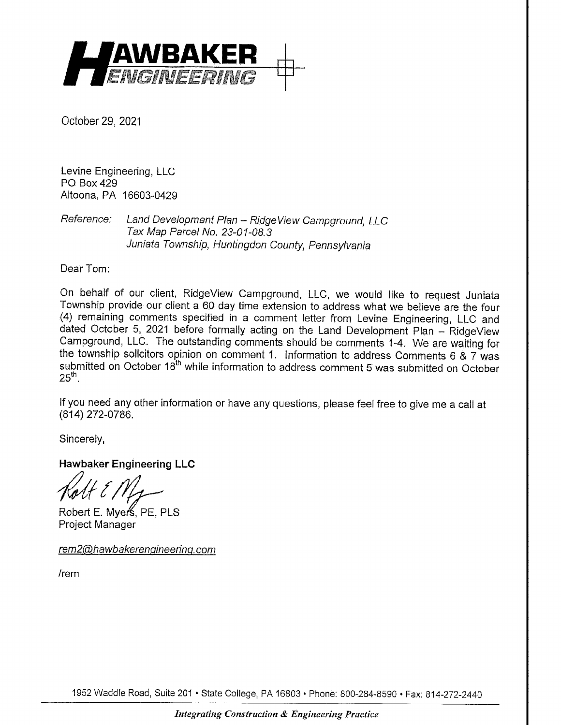

October 29,2021

Levine Engineering, LLC PO Box 429 Altoona, PA 16603-0429

Reference: Land Development Plan - RidgeView Campground, LLC Tax Map Parcel No. 23-01-08.3 Juniata Township, Huntingdon County, pennsylvania

Dear Tom:

On behalf of our client, RidgeView Campground, LLC, we would like to request Juniata Township provide our client a 60 day time extension to address what we believe are the four (4) remaining comments specified in a comment letter from Levine Engineering, LLC and dated October 5, 2021 before formally acting on the Land Development Plan - RidgeView Campground, LLC. The outstanding comments should be comments 1-4, We are waiting for the township solicitors opinion on comment 1, lnformation to address Comments 6 & 7 was submitted on October 18<sup>th</sup> while information to address comment 5 was submitted on October  $25<sup>th</sup>$ .

lf you need any other information or have any questions, please feel free to give me a call at (814) 272-0786.

Sincerely,

Hawbaker Engineering LLC

Robert E. Myer<sup>4</sup>, PE, PLS Project Manager

rem 2@ haw bakerengineering.com

lrem

1952 Waddle Road, Suite 201 · State College, PA 16803 · Phone: 800-284-8590 · Fax: 814-272-2440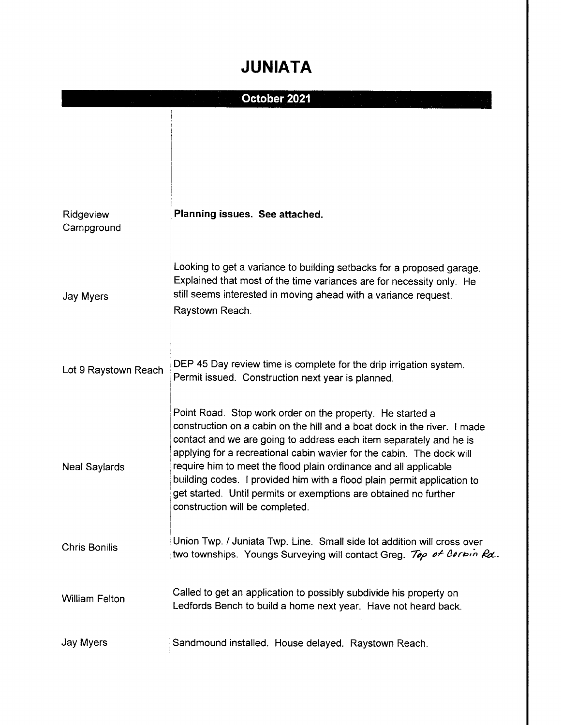# JUNIATA

|                         | October 2021                                                                                                                                                                                                                                                                                                                                                                                                                                                                                                                               |
|-------------------------|--------------------------------------------------------------------------------------------------------------------------------------------------------------------------------------------------------------------------------------------------------------------------------------------------------------------------------------------------------------------------------------------------------------------------------------------------------------------------------------------------------------------------------------------|
|                         |                                                                                                                                                                                                                                                                                                                                                                                                                                                                                                                                            |
| Ridgeview<br>Campground | Planning issues. See attached.                                                                                                                                                                                                                                                                                                                                                                                                                                                                                                             |
| Jay Myers               | Looking to get a variance to building setbacks for a proposed garage.<br>Explained that most of the time variances are for necessity only. He<br>still seems interested in moving ahead with a variance request.<br>Raystown Reach.                                                                                                                                                                                                                                                                                                        |
| Lot 9 Raystown Reach    | DEP 45 Day review time is complete for the drip irrigation system.<br>Permit issued. Construction next year is planned.                                                                                                                                                                                                                                                                                                                                                                                                                    |
| <b>Neal Saylards</b>    | Point Road. Stop work order on the property. He started a<br>construction on a cabin on the hill and a boat dock in the river. I made<br>contact and we are going to address each item separately and he is<br>applying for a recreational cabin wavier for the cabin. The dock will<br>require him to meet the flood plain ordinance and all applicable<br>building codes. I provided him with a flood plain permit application to<br>get started. Until permits or exemptions are obtained no further<br>construction will be completed. |
| <b>Chris Bonilis</b>    | Union Twp. / Juniata Twp. Line. Small side lot addition will cross over<br>two townships. Youngs Surveying will contact Greg. Top of Corbin Rd.                                                                                                                                                                                                                                                                                                                                                                                            |
| <b>William Felton</b>   | Called to get an application to possibly subdivide his property on<br>Ledfords Bench to build a home next year. Have not heard back.                                                                                                                                                                                                                                                                                                                                                                                                       |
| Jay Myers               | Sandmound installed. House delayed. Raystown Reach.                                                                                                                                                                                                                                                                                                                                                                                                                                                                                        |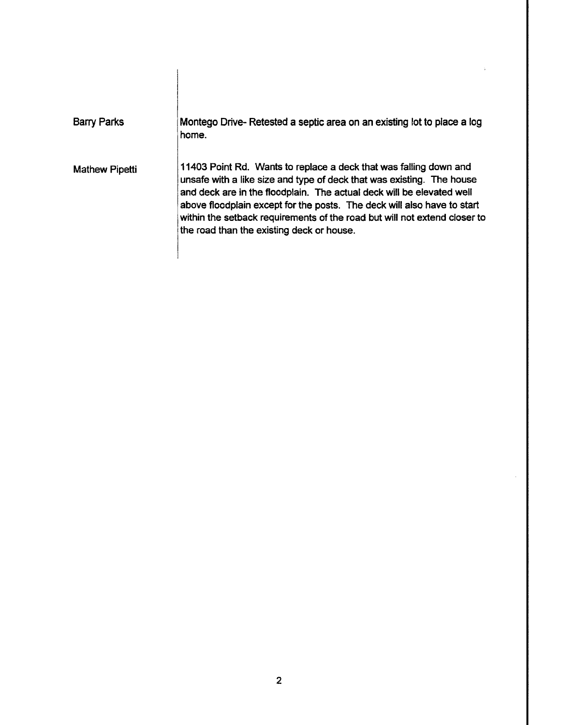| Barry Parks           | Montego Drive-Retested a septic area on an existing lot to place a log<br>home.                                                                                                                                                                                                                                                                                                                                          |
|-----------------------|--------------------------------------------------------------------------------------------------------------------------------------------------------------------------------------------------------------------------------------------------------------------------------------------------------------------------------------------------------------------------------------------------------------------------|
| <b>Mathew Pipetti</b> | 11403 Point Rd. Wants to replace a deck that was falling down and<br>unsafe with a like size and type of deck that was existing. The house<br>and deck are in the floodplain. The actual deck will be elevated well<br>above floodplain except for the posts. The deck will also have to start<br>within the setback requirements of the road but will not extend closer to<br>the road than the existing deck or house. |

 $\overline{\phantom{a}}$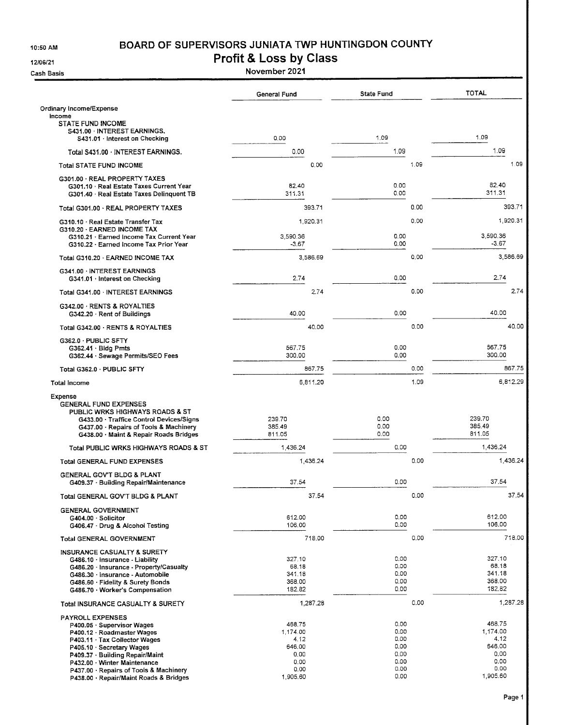10:50 AM

#### BOARD OF SUPERVISORS JUNIATA TWP HUNTINGDON COUNTY

12/06/21

**Cash Basis** 

Profit & Loss by Class

|                                                                                                                                                                                                                                                                                                        | <b>General Fund</b>                                                      | <b>State Fund</b>                                            |      | <b>TOTAL</b>                                                             |
|--------------------------------------------------------------------------------------------------------------------------------------------------------------------------------------------------------------------------------------------------------------------------------------------------------|--------------------------------------------------------------------------|--------------------------------------------------------------|------|--------------------------------------------------------------------------|
| Ordinary Income/Expense<br>income                                                                                                                                                                                                                                                                      |                                                                          |                                                              |      |                                                                          |
| <b>STATE FUND INCOME</b><br>S431.00 · INTEREST EARNINGS.<br>S431.01 Interest on Checking                                                                                                                                                                                                               | 0.00                                                                     | 1.09                                                         |      | 1.09                                                                     |
| Total S431.00 · INTEREST EARNINGS.                                                                                                                                                                                                                                                                     | 0.00                                                                     | 1.09                                                         |      | 1.09                                                                     |
| <b>Total STATE FUND INCOME</b>                                                                                                                                                                                                                                                                         | 0.00                                                                     |                                                              | 1.09 | 1.09                                                                     |
| G301.00 · REAL PROPERTY TAXES<br>G301.10 · Real Estate Taxes Current Year<br>G301.40 · Real Estate Taxes Delinquent TB                                                                                                                                                                                 | 82.40<br>311.31                                                          | 0.00<br>0.00                                                 |      | 82.40<br>311.31                                                          |
| Total G301.00 REAL PROPERTY TAXES                                                                                                                                                                                                                                                                      | 393.71                                                                   |                                                              | 0.00 | 393.71                                                                   |
| G310.10 Real Estate Transfer Tax<br>G310.20 · EARNED INCOME TAX                                                                                                                                                                                                                                        | 1,920.31                                                                 |                                                              | 0.00 | 1,920.31                                                                 |
| G310.21 · Earned Income Tax Current Year<br>G310.22 Earned Income Tax Prior Year                                                                                                                                                                                                                       | 3,590.36<br>$-3.67$                                                      | 0.00<br>0.00                                                 |      | 3,590.36<br>$-3.67$                                                      |
| Total G310.20 - EARNED INCOME TAX                                                                                                                                                                                                                                                                      | 3,586.69                                                                 |                                                              | 0.00 | 3,586.69                                                                 |
| G341.00 INTEREST EARNINGS<br>G341.01 Interest on Checking                                                                                                                                                                                                                                              | 2.74                                                                     | 0.00                                                         |      | 2.74                                                                     |
| Total G341.00 INTEREST EARNINGS                                                                                                                                                                                                                                                                        | 2.74                                                                     |                                                              | 0.00 | 2.74                                                                     |
| G342.00 · RENTS & ROYALTIES<br>G342.20 · Rent of Buildings                                                                                                                                                                                                                                             | 40.00                                                                    | 0.00                                                         |      | 40.00                                                                    |
| Total G342.00 · RENTS & ROYALTIES                                                                                                                                                                                                                                                                      | 40.00                                                                    |                                                              | 0.00 | 40.00                                                                    |
| G362.0 · PUBLIC SFTY<br>G362.41 · Bidg Pmts<br>G362.44 · Sewage Permits/SEO Fees                                                                                                                                                                                                                       | 567.75<br>300.00                                                         | 0.00<br>0.00                                                 |      | 567.75<br>300.00                                                         |
| Total G362.0 · PUBLIC SFTY                                                                                                                                                                                                                                                                             | 867.75                                                                   |                                                              | 0.00 | 867.75                                                                   |
| Total Income                                                                                                                                                                                                                                                                                           | 6,811.20                                                                 |                                                              | 1.09 | 6,812.29                                                                 |
| Expense<br><b>GENERAL FUND EXPENSES</b><br>PUBLIC WRKS HIGHWAYS ROADS & ST<br>G433.00 · Traffice Control Devices/Signs<br>G437.00 · Repairs of Tools & Machinery<br>G438.00 · Maint & Repair Roads Bridges                                                                                             | 239.70<br>385.49<br>811.05                                               | 0.00<br>0.00<br>0.00                                         |      | 239.70<br>385.49<br>811.05                                               |
| Total PUBLIC WRKS HIGHWAYS ROADS & ST                                                                                                                                                                                                                                                                  | 1,436.24                                                                 | 0.00                                                         |      | 1,436.24                                                                 |
| Total GENERAL FUND EXPENSES                                                                                                                                                                                                                                                                            | 1,436.24                                                                 |                                                              | 0.00 | 1,436.24                                                                 |
| GENERAL GOV'T BLDG & PLANT<br>G409.37 · Building Repair/Maintenance                                                                                                                                                                                                                                    | 37.54                                                                    | 0.00                                                         |      | 37.54                                                                    |
| Total GENERAL GOV'T BLDG & PLANT                                                                                                                                                                                                                                                                       | 37.54                                                                    |                                                              | 0.00 | 37.54                                                                    |
| <b>GENERAL GOVERNMENT</b><br>G404.00 · Solicitor<br>G406.47 Drug & Alcohol Testing                                                                                                                                                                                                                     | 612.00<br>106,00                                                         | 0.00<br>0.00                                                 |      | 612.00<br>106.00                                                         |
| <b>Total GENERAL GOVERNMENT</b>                                                                                                                                                                                                                                                                        | 718.00                                                                   |                                                              | 0.00 | 718.00                                                                   |
| INSURANCE CASUALTY & SURETY<br>G486.10 · Insurance - Liability<br>G486.20 · Insurance - Property/Casualty<br>G486.30 · Insurance - Automobile<br>G486.60 · Fidelity & Surety Bonds<br>G486.70 · Worker's Compensation                                                                                  | 327.10<br>68.18<br>341.18<br>368.00<br>182.82                            | 0.00<br>0.00<br>0.00<br>0.00<br>0.00                         |      | 327.10<br>68.18<br>341.18<br>368.00<br>182,82                            |
| Total INSURANCE CASUALTY & SURETY                                                                                                                                                                                                                                                                      | 1,287.28                                                                 |                                                              | 0.00 | 1,287.28                                                                 |
| <b>PAYROLL EXPENSES</b><br>P400.05 · Supervisor Wages<br>P400.12 · Roadmaster Wages<br>P403.11 · Tax Collector Wages<br>P405.10 · Secretary Wages<br>P409.37 · Building Repair/Maint<br>P432.00 · Winter Maintenance<br>P437.00 Repairs of Tools & Machinery<br>P438.00 · Repair/Maint Roads & Bridges | 468.75<br>1,174.00<br>4.12<br>646.00<br>0.00<br>0.00<br>0.00<br>1,905.60 | 0.00<br>0.00<br>0.00<br>0.00<br>0.00<br>0.00<br>0.00<br>0.00 |      | 468.75<br>1,174.00<br>4.12<br>646.00<br>0.00<br>0.00<br>0.00<br>1,905.60 |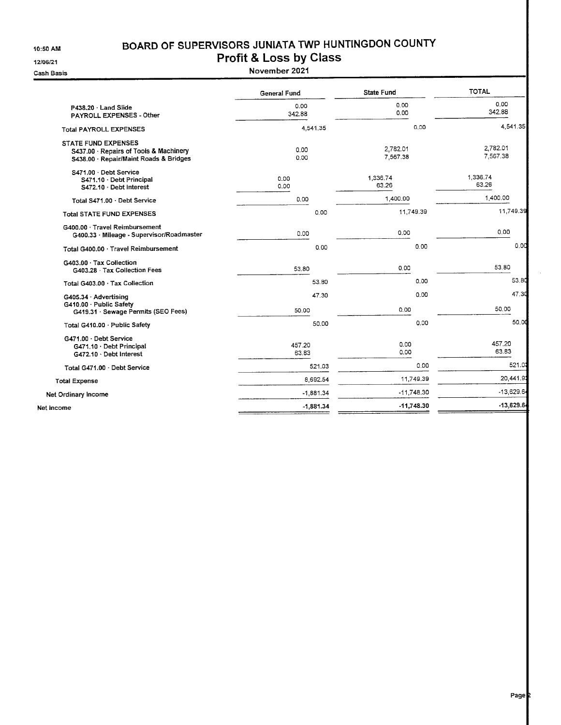10:50 AM

#### BOARD OF SUPERVISORS JUNIATA TWP HUNTINGDON COUNTY Profit & Loss by Class

12/06/21

Cash Basis

| M,                                                                                                      | <b>FIUIIL &amp; LUSS DY CIASS</b> |                      |           |                      |
|---------------------------------------------------------------------------------------------------------|-----------------------------------|----------------------|-----------|----------------------|
| 3asis                                                                                                   | November 2021                     |                      |           |                      |
|                                                                                                         | General Fund                      | <b>State Fund</b>    |           | <b>TOTAL</b>         |
| P438.20 Land Slide<br>PAYROLL EXPENSES - Other                                                          | 0.00<br>342.88                    | 0.00<br>0.00         |           | 0,00<br>342.88       |
| <b>Total PAYROLL EXPENSES</b>                                                                           | 4,541.35                          |                      | 0.00      | 4,54                 |
| STATE FUND EXPENSES<br>S437.00 · Repairs of Tools & Machinery<br>S438.00 · Repair/Maint Roads & Bridges | 0.00<br>0.00                      | 2,782.01<br>7,567.38 |           | 2.782.01<br>7,567.38 |
| S471.00 Debt Service<br>S471.10 · Debt Principal<br>S472.10 · Debt Interest                             | 0.00<br>0,00                      | 1,336.74<br>63.26    |           | 1,336.74<br>63.26    |
| Total S471.00 Debt Service                                                                              | 0.00                              | 1,400.00             |           | 1,400.00             |
| <b>Total STATE FUND EXPENSES</b>                                                                        | 0.00                              |                      | 11,749.39 | 11,74                |
| G400.00 · Travel Reimbursement<br>G400.33 · Mileage - Supervisor/Roadmaster                             | 0.00                              | 0.00                 |           | 0.00                 |
| Total G400.00 Travel Reimbursement                                                                      | 0.00                              |                      | 0.00      |                      |
| G403.00 · Tax Collection<br>G403.28 Tax Collection Fees                                                 | 53.80                             | 0.00                 |           | 53.80                |
| Total G403.00 · Tax Collection                                                                          | 53.80                             |                      | 0.00      |                      |
| G405.34 · Advertising<br>G410.00 Public Safety<br>G419.31 · Sewage Permits (SEO Fees)                   | 47.30<br>50.00                    | 0.00                 | 0.00      | 50.00                |
| Total G410.00 · Public Safety                                                                           | 50.00                             |                      | 0.00      |                      |
| G471.00 Debt Service<br>G471.10 · Debt Principal<br>G472.10 Debt Interest                               | 457.20<br>63.83                   | 0.00<br>0.00         |           | 457.20<br>63.83      |
| Total G471.00 · Debt Service                                                                            | 521.03                            |                      | 0.00      | 5                    |
| <b>Total Expense</b>                                                                                    | 8,692.54                          |                      | 11,749.39 | 20,4                 |
|                                                                                                         |                                   |                      |           |                      |

-1,881.34 -11,748.30 -1,881.34 -1 1,748.30

Net Ordinary lncome

Net lncome

11,749.39

 $0.00$ 

53.80 47.30

50.00

4,541.35

20,441.  $-13,629.6$ 

 $-13,629.6$ 

521.0